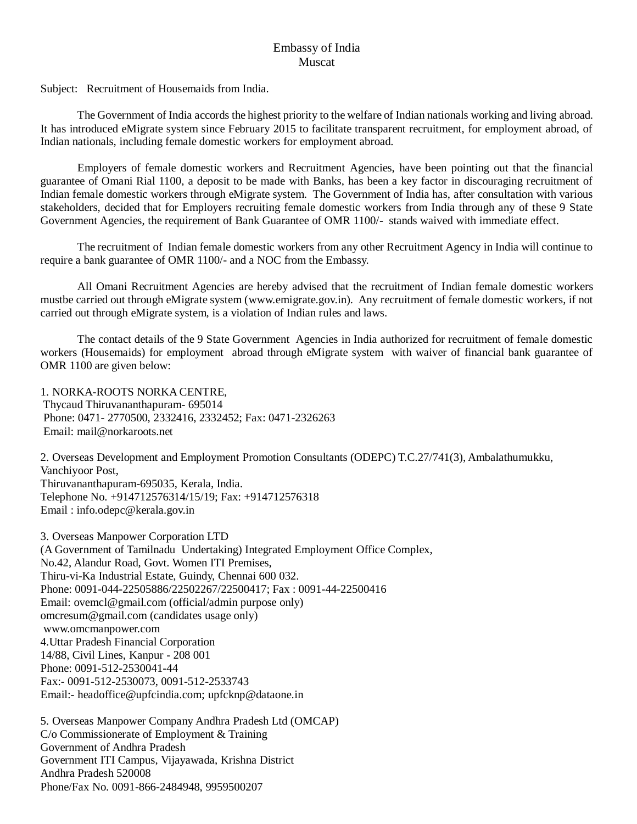## Embassy of India Muscat

Subject: Recruitment of Housemaids from India.

The Government of India accords the highest priority to the welfare of Indian nationals working and living abroad. It has introduced eMigrate system since February 2015 to facilitate transparent recruitment, for employment abroad, of Indian nationals, including female domestic workers for employment abroad.

Employers of female domestic workers and Recruitment Agencies, have been pointing out that the financial guarantee of Omani Rial 1100, a deposit to be made with Banks, has been a key factor in discouraging recruitment of Indian female domestic workers through eMigrate system. The Government of India has, after consultation with various stakeholders, decided that for Employers recruiting female domestic workers from India through any of these 9 State Government Agencies, the requirement of Bank Guarantee of OMR 1100/- stands waived with immediate effect.

The recruitment of Indian female domestic workers from any other Recruitment Agency in India will continue to require a bank guarantee of OMR 1100/- and a NOC from the Embassy.

All Omani Recruitment Agencies are hereby advised that the recruitment of Indian female domestic workers mustbe carried out through eMigrate system [\(www.emigrate.gov.in\)](http://www.emigrate.gov.in/). Any recruitment of female domestic workers, if not carried out through eMigrate system, is a violation of Indian rules and laws.

The contact details of the 9 State Government Agencies in India authorized for recruitment of female domestic workers (Housemaids) for employment abroad through eMigrate system with waiver of financial bank guarantee of OMR 1100 are given below:

1. NORKA-ROOTS NORKA CENTRE, Thycaud Thiruvananthapuram- 695014 Phone: 0471- 2770500, 2332416, 2332452; Fax: 0471-2326263 Email: [mail@norkaroots.net](mailto:mail@norkaroots.net)

2. Overseas Development and Employment Promotion Consultants (ODEPC) T.C.27/741(3), Ambalathumukku, Vanchiyoor Post, Thiruvananthapuram-695035, Kerala, India. Telephone No. +914712576314/15/19; Fax: +914712576318 Email : [info.odepc@kerala.gov.in](mailto:info.odepc@kerala.gov.in)

3. Overseas Manpower Corporation LTD (A Government of Tamilnadu Undertaking) Integrated Employment Office Complex, No.42, Alandur Road, Govt. Women ITI Premises, Thiru-vi-Ka Industrial Estate, Guindy, Chennai 600 032. Phone: 0091-044-22505886/22502267/22500417; Fax : 0091-44-22500416 Email: ovemcl@gmail.com (official/admin purpose only) omcresum@gmail.com (candidates usage only) [www.omcmanpower.com](http://www.omcmanpower.com/) 4.Uttar Pradesh Financial Corporation 14/88, Civil Lines, Kanpur - 208 001 Phone: 0091-512-2530041-44 Fax:- 0091-512-2530073, 0091-512-2533743 Email:- headoffice@upfcindia.com; [upfcknp@dataone.in](mailto:upfcknp@dataone.in)

5. Overseas Manpower Company Andhra Pradesh Ltd (OMCAP) C/o Commissionerate of Employment & Training Government of Andhra Pradesh Government ITI Campus, Vijayawada, Krishna District Andhra Pradesh 520008 Phone/Fax No. 0091-866-2484948, 9959500207